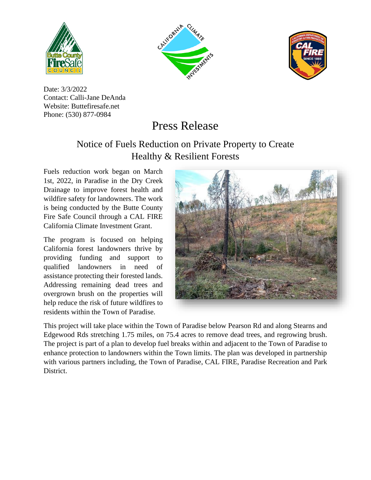





Date: 3/3/2022 Contact: Calli-Jane DeAnda Website: Buttefiresafe.net Phone: (530) 877-0984

## Press Release

## Notice of Fuels Reduction on Private Property to Create Healthy & Resilient Forests

Fuels reduction work began on March 1st, 2022, in Paradise in the Dry Creek Drainage to improve forest health and wildfire safety for landowners. The work is being conducted by the Butte County Fire Safe Council through a CAL FIRE California Climate Investment Grant.

The program is focused on helping California forest landowners thrive by providing funding and support to qualified landowners in need of assistance protecting their forested lands. Addressing remaining dead trees and overgrown brush on the properties will help reduce the risk of future wildfires to residents within the Town of Paradise.



This project will take place within the Town of Paradise below Pearson Rd and along Stearns and Edgewood Rds stretching 1.75 miles, on 75.4 acres to remove dead trees, and regrowing brush. The project is part of a plan to develop fuel breaks within and adjacent to the Town of Paradise to enhance protection to landowners within the Town limits. The plan was developed in partnership with various partners including, the Town of Paradise, CAL FIRE, Paradise Recreation and Park District.